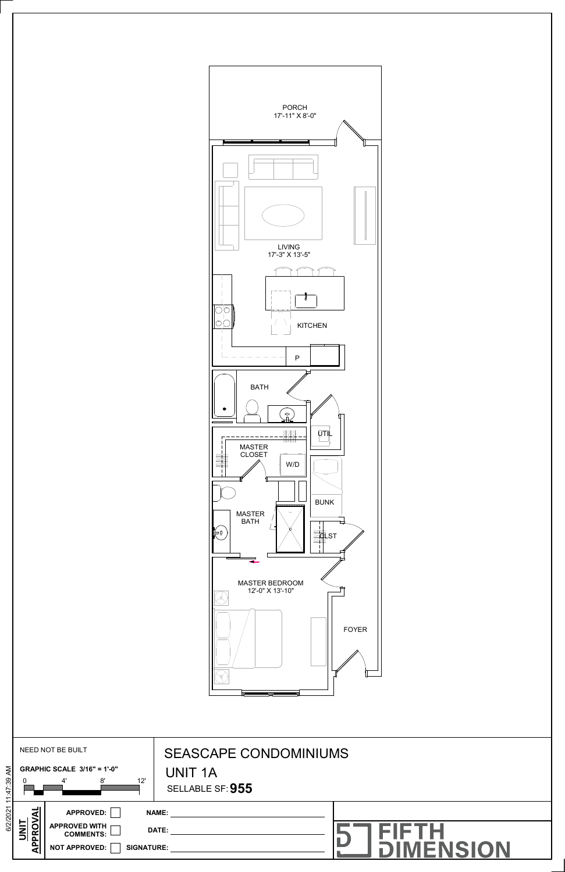

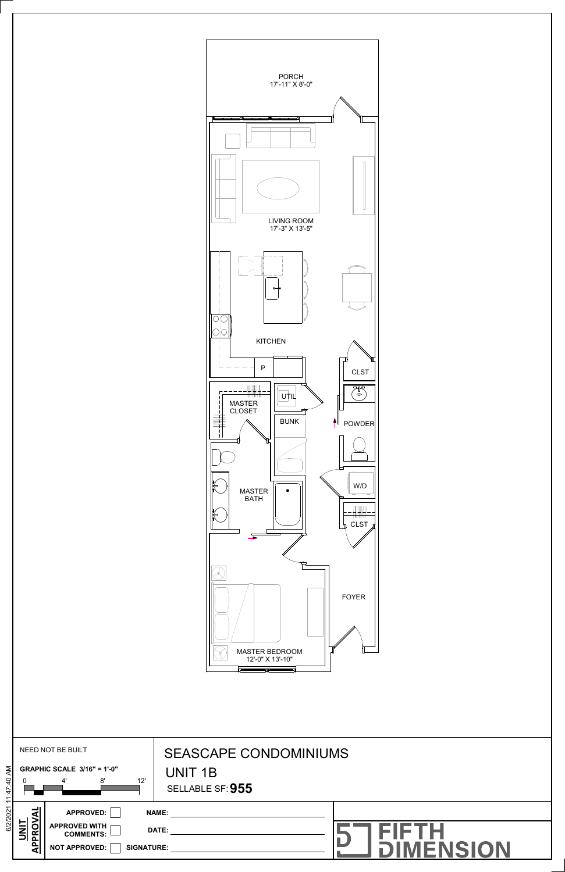



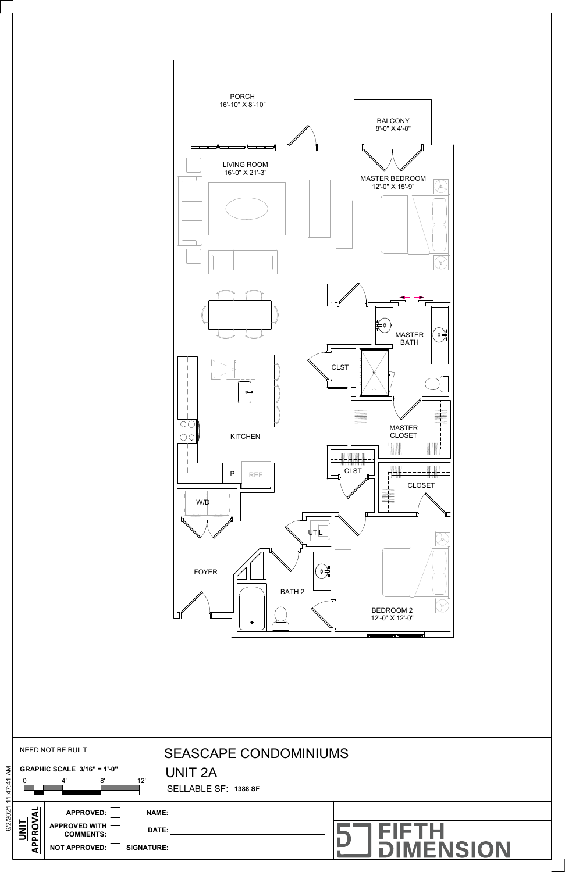

|                                                                                        |                                                    | <b>BEDROOM2</b><br>12'-0" X 12'-0"                                     |
|----------------------------------------------------------------------------------------|----------------------------------------------------|------------------------------------------------------------------------|
| NEED NOT BE BUILT<br>6/2/2021 11:47:41 AM<br><b>GRAPHIC SCALE 3/16" = 1'-0"</b><br>12' |                                                    | <b>SEASCAPE CONDOMINIUMS</b><br><b>UNIT 2A</b><br>SELLABLE SF: 1388 SF |
| <b>UNIT<br/>APPROVAL</b><br><b>APPROVED WITH</b><br><b>NOT APPROVED:</b>               | APPROVED:<br><b>COMMENTS:</b><br><b>SIGNATURE:</b> | <b>FIFTH<br/>DIMENSION</b>                                             |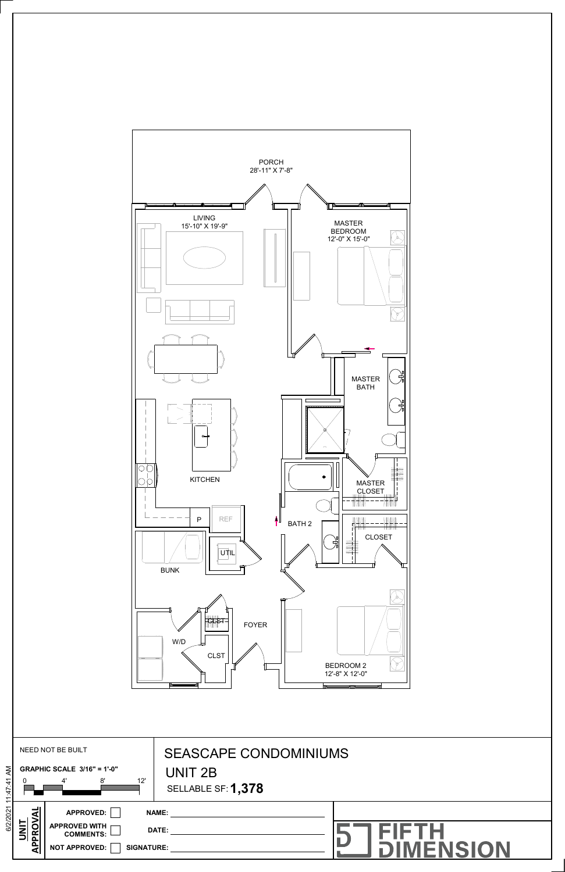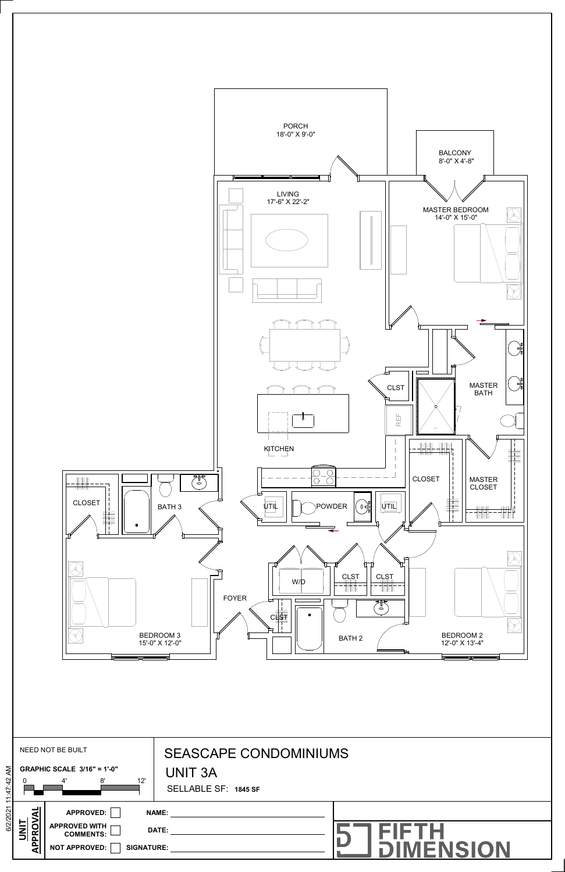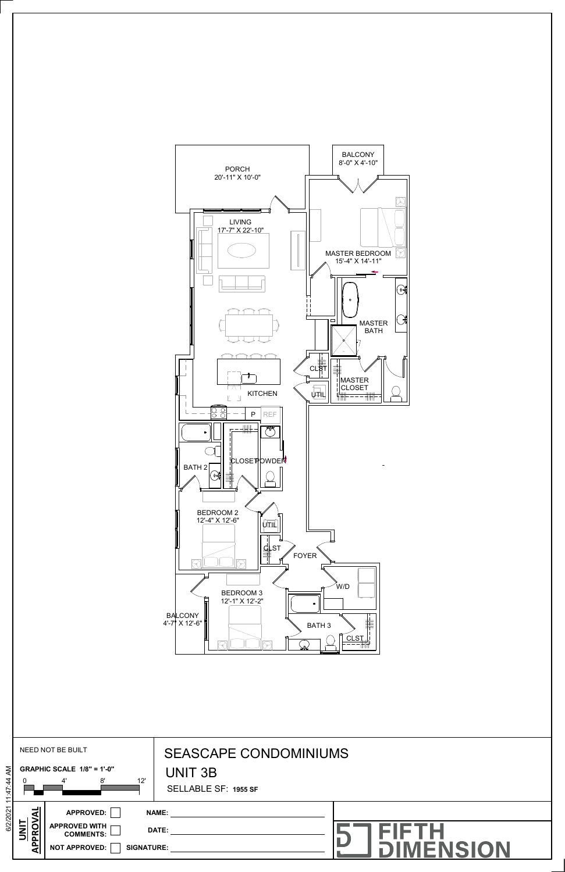